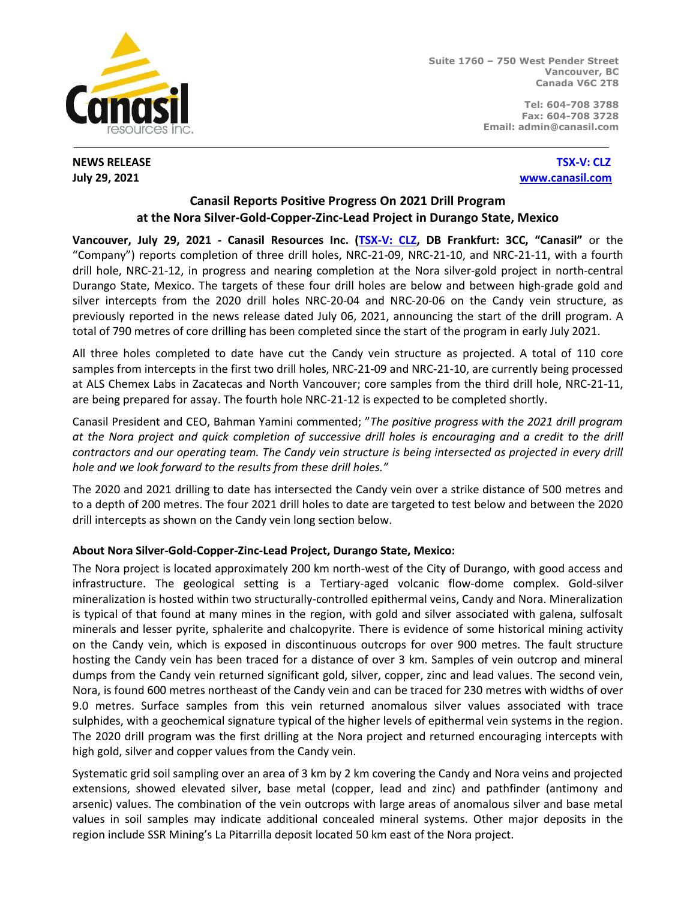

**Suite 1760 – 750 West Pender Street Vancouver, BC Canada V6C 2T8**

> **Tel: 604-708 3788 Fax: 604-708 3728 Email: admin@canasil.com**

**NEWS RELEASE****[TSX-V: CLZ](http://www.stockwatch.com/) July 29, 2021****[www.canasil.com](http://www.canasil.com/)**

## **Canasil Reports Positive Progress On 2021 Drill Program at the Nora Silver-Gold-Copper-Zinc-Lead Project in Durango State, Mexico**

**Vancouver, July 29, 2021 - Canasil Resources Inc. [\(TSX-V: CLZ](http://www.stockwatch.com/), DB Frankfurt: 3CC, "Canasil"** or the "Company") reports completion of three drill holes, NRC-21-09, NRC-21-10, and NRC-21-11, with a fourth drill hole, NRC-21-12, in progress and nearing completion at the Nora silver-gold project in north-central Durango State, Mexico. The targets of these four drill holes are below and between high-grade gold and silver intercepts from the 2020 drill holes NRC-20-04 and NRC-20-06 on the Candy vein structure, as previously reported in the news release dated July 06, 2021, announcing the start of the drill program. A total of 790 metres of core drilling has been completed since the start of the program in early July 2021.

All three holes completed to date have cut the Candy vein structure as projected. A total of 110 core samples from intercepts in the first two drill holes, NRC-21-09 and NRC-21-10, are currently being processed at ALS Chemex Labs in Zacatecas and North Vancouver; core samples from the third drill hole, NRC-21-11, are being prepared for assay. The fourth hole NRC-21-12 is expected to be completed shortly.

Canasil President and CEO, Bahman Yamini commented; "*The positive progress with the 2021 drill program at the Nora project and quick completion of successive drill holes is encouraging and a credit to the drill contractors and our operating team. The Candy vein structure is being intersected as projected in every drill hole and we look forward to the results from these drill holes."*

The 2020 and 2021 drilling to date has intersected the Candy vein over a strike distance of 500 metres and to a depth of 200 metres. The four 2021 drill holes to date are targeted to test below and between the 2020 drill intercepts as shown on the Candy vein long section below.

## **About Nora Silver-Gold-Copper-Zinc-Lead Project, Durango State, Mexico:**

The Nora project is located approximately 200 km north-west of the City of Durango, with good access and infrastructure. The geological setting is a Tertiary-aged volcanic flow-dome complex. Gold-silver mineralization is hosted within two structurally-controlled epithermal veins, Candy and Nora. Mineralization is typical of that found at many mines in the region, with gold and silver associated with galena, sulfosalt minerals and lesser pyrite, sphalerite and chalcopyrite. There is evidence of some historical mining activity on the Candy vein, which is exposed in discontinuous outcrops for over 900 metres. The fault structure hosting the Candy vein has been traced for a distance of over 3 km. Samples of vein outcrop and mineral dumps from the Candy vein returned significant gold, silver, copper, zinc and lead values. The second vein, Nora, is found 600 metres northeast of the Candy vein and can be traced for 230 metres with widths of over 9.0 metres. Surface samples from this vein returned anomalous silver values associated with trace sulphides, with a geochemical signature typical of the higher levels of epithermal vein systems in the region. The 2020 drill program was the first drilling at the Nora project and returned encouraging intercepts with high gold, silver and copper values from the Candy vein.

Systematic grid soil sampling over an area of 3 km by 2 km covering the Candy and Nora veins and projected extensions, showed elevated silver, base metal (copper, lead and zinc) and pathfinder (antimony and arsenic) values. The combination of the vein outcrops with large areas of anomalous silver and base metal values in soil samples may indicate additional concealed mineral systems. Other major deposits in the region include SSR Mining's La Pitarrilla deposit located 50 km east of the Nora project.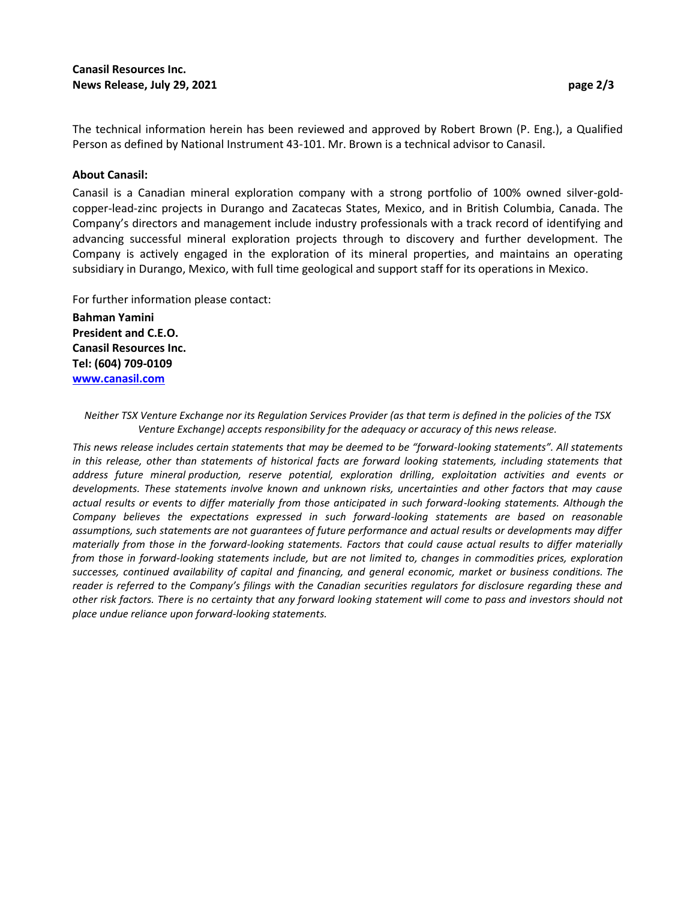The technical information herein has been reviewed and approved by Robert Brown (P. Eng.), a Qualified Person as defined by National Instrument 43-101. Mr. Brown is a technical advisor to Canasil.

## **About Canasil:**

Canasil is a Canadian mineral exploration company with a strong portfolio of 100% owned silver-goldcopper-lead-zinc projects in Durango and Zacatecas States, Mexico, and in British Columbia, Canada. The Company's directors and management include industry professionals with a track record of identifying and advancing successful mineral exploration projects through to discovery and further development. The Company is actively engaged in the exploration of its mineral properties, and maintains an operating subsidiary in Durango, Mexico, with full time geological and support staff for its operations in Mexico.

For further information please contact:

**Bahman Yamini President and C.E.O. Canasil Resources Inc. Tel: (604) 709-0109 [www.canasil.com](http://www.canasil.com/)**

*Neither TSX Venture Exchange nor its Regulation Services Provider (as that term is defined in the policies of the TSX Venture Exchange) accepts responsibility for the adequacy or accuracy of this news release.*

*This news release includes certain statements that may be deemed to be "forward-looking statements". All statements*  in this release, other than statements of historical facts are forward looking statements, including statements that *address future mineral production, reserve potential, exploration drilling, exploitation activities and events or developments. These statements involve known and unknown risks, uncertainties and other factors that may cause actual results or events to differ materially from those anticipated in such forward-looking statements. Although the Company believes the expectations expressed in such forward-looking statements are based on reasonable assumptions, such statements are not guarantees of future performance and actual results or developments may differ materially from those in the forward-looking statements. Factors that could cause actual results to differ materially from those in forward-looking statements include, but are not limited to, changes in commodities prices, exploration successes, continued availability of capital and financing, and general economic, market or business conditions. The reader is referred to the Company's filings with the Canadian securities regulators for disclosure regarding these and other risk factors. There is no certainty that any forward looking statement will come to pass and investors should not place undue reliance upon forward-looking statements.*